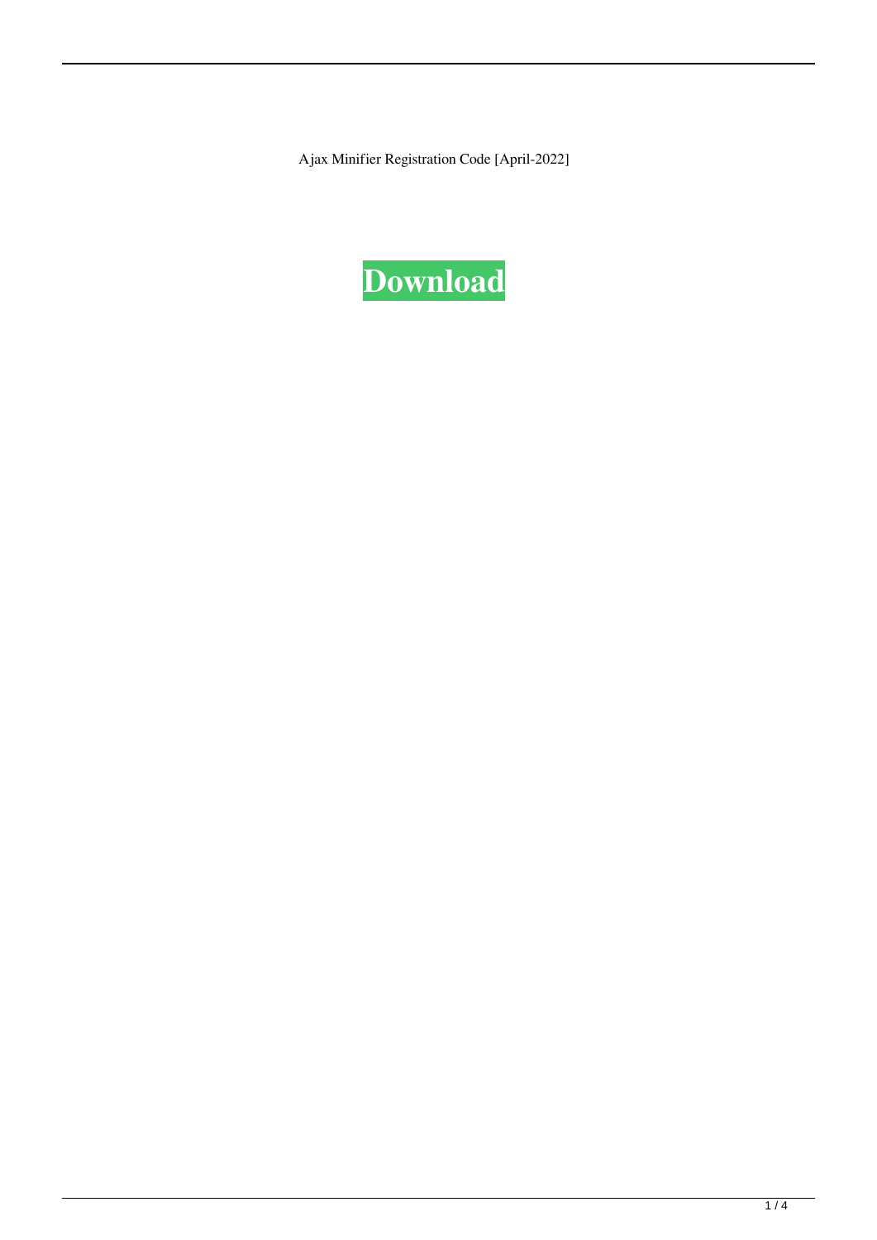Ajax Minifier Registration Code [April-2022]

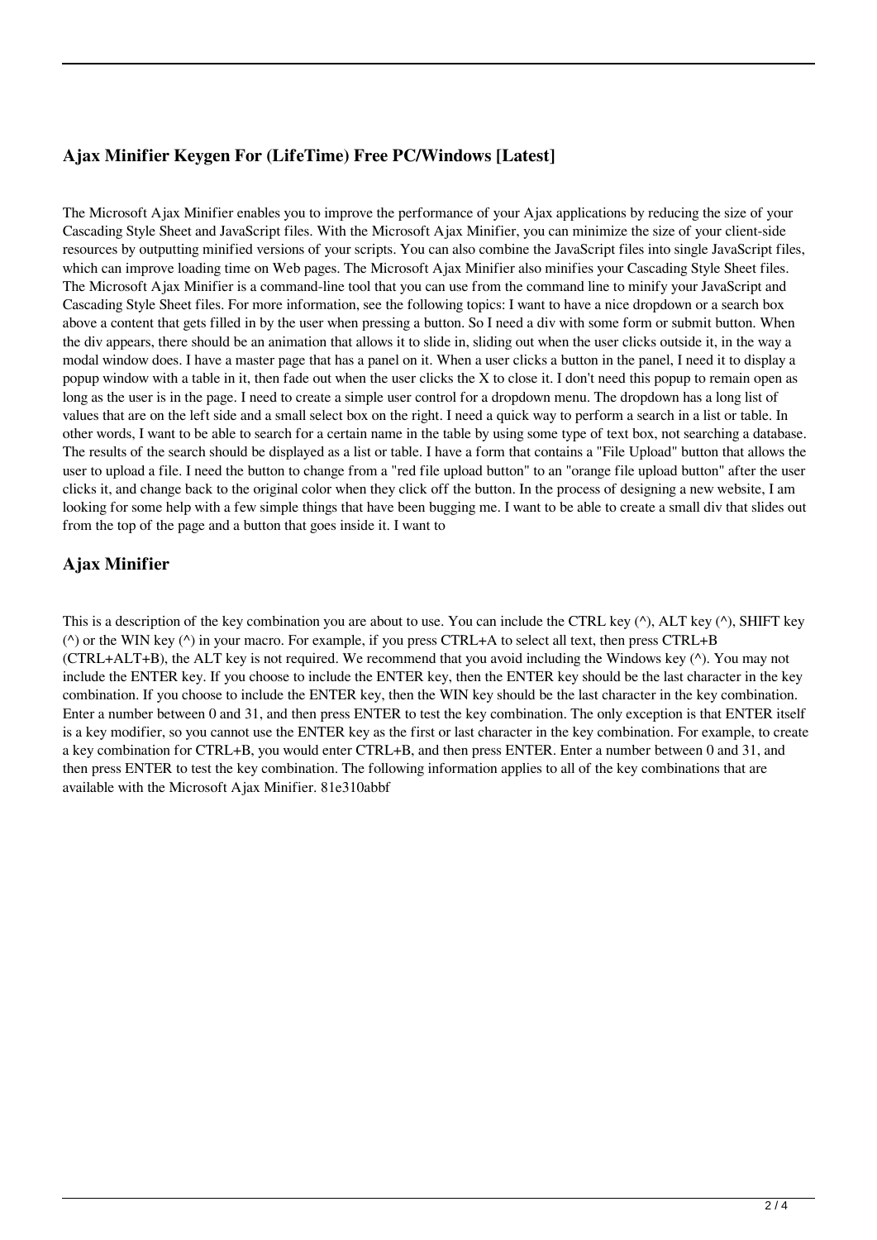# **Ajax Minifier Keygen For (LifeTime) Free PC/Windows [Latest]**

The Microsoft Ajax Minifier enables you to improve the performance of your Ajax applications by reducing the size of your Cascading Style Sheet and JavaScript files. With the Microsoft Ajax Minifier, you can minimize the size of your client-side resources by outputting minified versions of your scripts. You can also combine the JavaScript files into single JavaScript files, which can improve loading time on Web pages. The Microsoft Ajax Minifier also minifies your Cascading Style Sheet files. The Microsoft Ajax Minifier is a command-line tool that you can use from the command line to minify your JavaScript and Cascading Style Sheet files. For more information, see the following topics: I want to have a nice dropdown or a search box above a content that gets filled in by the user when pressing a button. So I need a div with some form or submit button. When the div appears, there should be an animation that allows it to slide in, sliding out when the user clicks outside it, in the way a modal window does. I have a master page that has a panel on it. When a user clicks a button in the panel, I need it to display a popup window with a table in it, then fade out when the user clicks the X to close it. I don't need this popup to remain open as long as the user is in the page. I need to create a simple user control for a dropdown menu. The dropdown has a long list of values that are on the left side and a small select box on the right. I need a quick way to perform a search in a list or table. In other words, I want to be able to search for a certain name in the table by using some type of text box, not searching a database. The results of the search should be displayed as a list or table. I have a form that contains a "File Upload" button that allows the user to upload a file. I need the button to change from a "red file upload button" to an "orange file upload button" after the user clicks it, and change back to the original color when they click off the button. In the process of designing a new website, I am looking for some help with a few simple things that have been bugging me. I want to be able to create a small div that slides out from the top of the page and a button that goes inside it. I want to

# **Ajax Minifier**

This is a description of the key combination you are about to use. You can include the CTRL key  $(\wedge)$ , ALT key  $(\wedge)$ , SHIFT key (^) or the WIN key (^) in your macro. For example, if you press CTRL+A to select all text, then press CTRL+B (CTRL+ALT+B), the ALT key is not required. We recommend that you avoid including the Windows key (^). You may not include the ENTER key. If you choose to include the ENTER key, then the ENTER key should be the last character in the key combination. If you choose to include the ENTER key, then the WIN key should be the last character in the key combination. Enter a number between 0 and 31, and then press ENTER to test the key combination. The only exception is that ENTER itself is a key modifier, so you cannot use the ENTER key as the first or last character in the key combination. For example, to create a key combination for CTRL+B, you would enter CTRL+B, and then press ENTER. Enter a number between 0 and 31, and then press ENTER to test the key combination. The following information applies to all of the key combinations that are available with the Microsoft Ajax Minifier. 81e310abbf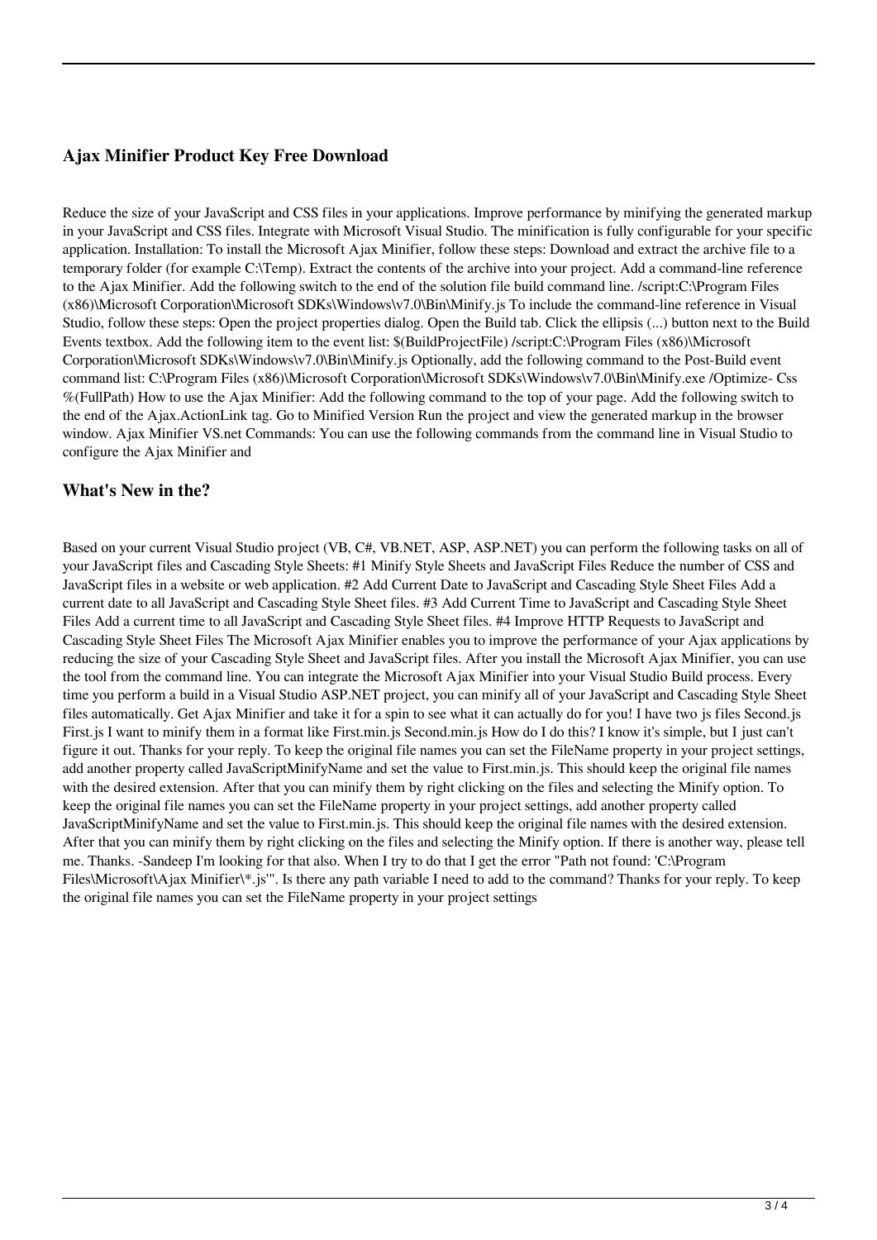### **Ajax Minifier Product Key Free Download**

Reduce the size of your JavaScript and CSS files in your applications. Improve performance by minifying the generated markup in your JavaScript and CSS files. Integrate with Microsoft Visual Studio. The minification is fully configurable for your specific application. Installation: To install the Microsoft Ajax Minifier, follow these steps: Download and extract the archive file to a temporary folder (for example C:\Temp). Extract the contents of the archive into your project. Add a command-line reference to the Ajax Minifier. Add the following switch to the end of the solution file build command line. /script:C:\Program Files (x86)\Microsoft Corporation\Microsoft SDKs\Windows\v7.0\Bin\Minify.js To include the command-line reference in Visual Studio, follow these steps: Open the project properties dialog. Open the Build tab. Click the ellipsis (...) button next to the Build Events textbox. Add the following item to the event list: \$(BuildProjectFile) /script:C:\Program Files (x86)\Microsoft Corporation\Microsoft SDKs\Windows\v7.0\Bin\Minify.js Optionally, add the following command to the Post-Build event command list: C:\Program Files (x86)\Microsoft Corporation\Microsoft SDKs\Windows\v7.0\Bin\Minify.exe /Optimize- Css %(FullPath) How to use the Ajax Minifier: Add the following command to the top of your page. Add the following switch to the end of the Ajax.ActionLink tag. Go to Minified Version Run the project and view the generated markup in the browser window. Ajax Minifier VS.net Commands: You can use the following commands from the command line in Visual Studio to configure the Ajax Minifier and

#### **What's New in the?**

Based on your current Visual Studio project (VB, C#, VB.NET, ASP, ASP.NET) you can perform the following tasks on all of your JavaScript files and Cascading Style Sheets: #1 Minify Style Sheets and JavaScript Files Reduce the number of CSS and JavaScript files in a website or web application. #2 Add Current Date to JavaScript and Cascading Style Sheet Files Add a current date to all JavaScript and Cascading Style Sheet files. #3 Add Current Time to JavaScript and Cascading Style Sheet Files Add a current time to all JavaScript and Cascading Style Sheet files. #4 Improve HTTP Requests to JavaScript and Cascading Style Sheet Files The Microsoft Ajax Minifier enables you to improve the performance of your Ajax applications by reducing the size of your Cascading Style Sheet and JavaScript files. After you install the Microsoft Ajax Minifier, you can use the tool from the command line. You can integrate the Microsoft Ajax Minifier into your Visual Studio Build process. Every time you perform a build in a Visual Studio ASP.NET project, you can minify all of your JavaScript and Cascading Style Sheet files automatically. Get Ajax Minifier and take it for a spin to see what it can actually do for you! I have two js files Second.js First.js I want to minify them in a format like First.min.js Second.min.js How do I do this? I know it's simple, but I just can't figure it out. Thanks for your reply. To keep the original file names you can set the FileName property in your project settings, add another property called JavaScriptMinifyName and set the value to First.min.js. This should keep the original file names with the desired extension. After that you can minify them by right clicking on the files and selecting the Minify option. To keep the original file names you can set the FileName property in your project settings, add another property called JavaScriptMinifyName and set the value to First.min.js. This should keep the original file names with the desired extension. After that you can minify them by right clicking on the files and selecting the Minify option. If there is another way, please tell me. Thanks. -Sandeep I'm looking for that also. When I try to do that I get the error "Path not found: 'C:\Program Files\Microsoft\A jax Minifier\\*.js'". Is there any path variable I need to add to the command? Thanks for your reply. To keep the original file names you can set the FileName property in your project settings